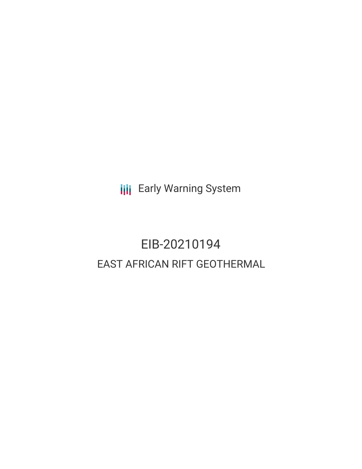**III** Early Warning System

# EIB-20210194 EAST AFRICAN RIFT GEOTHERMAL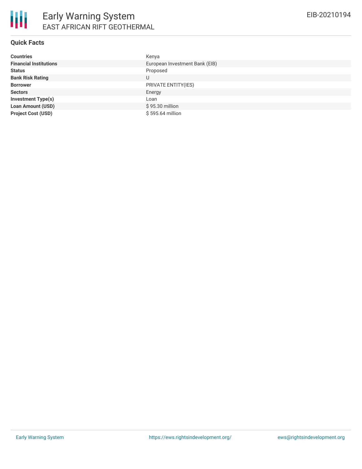### **Quick Facts**

| <b>Countries</b>              | Kenya                          |
|-------------------------------|--------------------------------|
| <b>Financial Institutions</b> | European Investment Bank (EIB) |
| <b>Status</b>                 | Proposed                       |
| <b>Bank Risk Rating</b>       | U                              |
| <b>Borrower</b>               | PRIVATE ENTITY(IES)            |
| <b>Sectors</b>                | Energy                         |
| <b>Investment Type(s)</b>     | Loan                           |
| <b>Loan Amount (USD)</b>      | \$95.30 million                |
| <b>Project Cost (USD)</b>     | \$595.64 million               |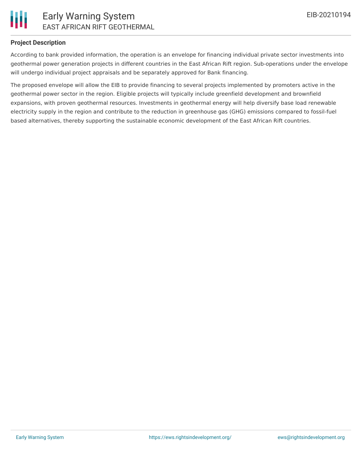

# **Project Description**

According to bank provided information, the operation is an envelope for financing individual private sector investments into geothermal power generation projects in different countries in the East African Rift region. Sub-operations under the envelope will undergo individual project appraisals and be separately approved for Bank financing.

The proposed envelope will allow the EIB to provide financing to several projects implemented by promoters active in the geothermal power sector in the region. Eligible projects will typically include greenfield development and brownfield expansions, with proven geothermal resources. Investments in geothermal energy will help diversify base load renewable electricity supply in the region and contribute to the reduction in greenhouse gas (GHG) emissions compared to fossil-fuel based alternatives, thereby supporting the sustainable economic development of the East African Rift countries.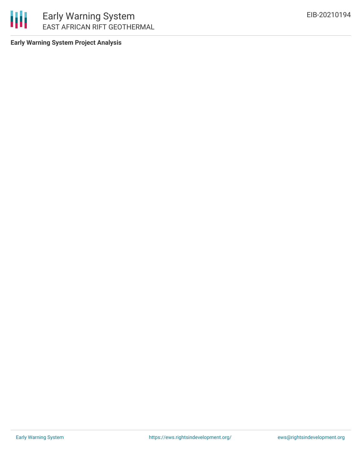

**Early Warning System Project Analysis**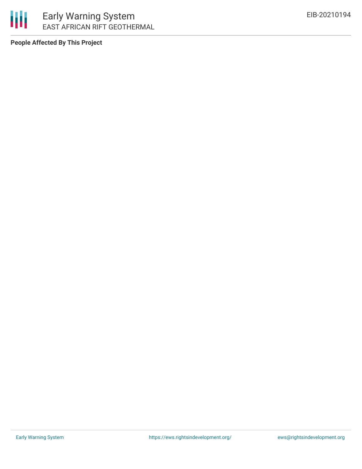

**People Affected By This Project**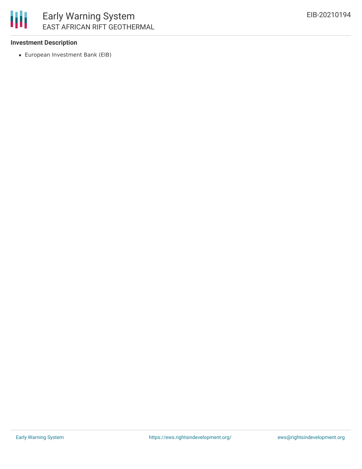

### **Investment Description**

European Investment Bank (EIB)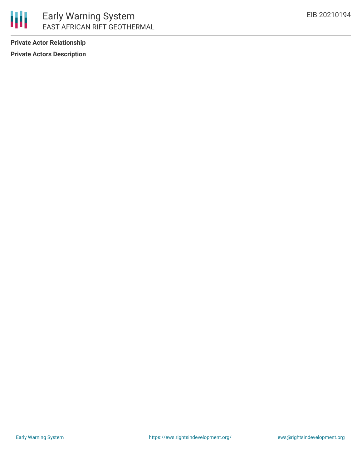

**Private Actor Relationship Private Actors Description**